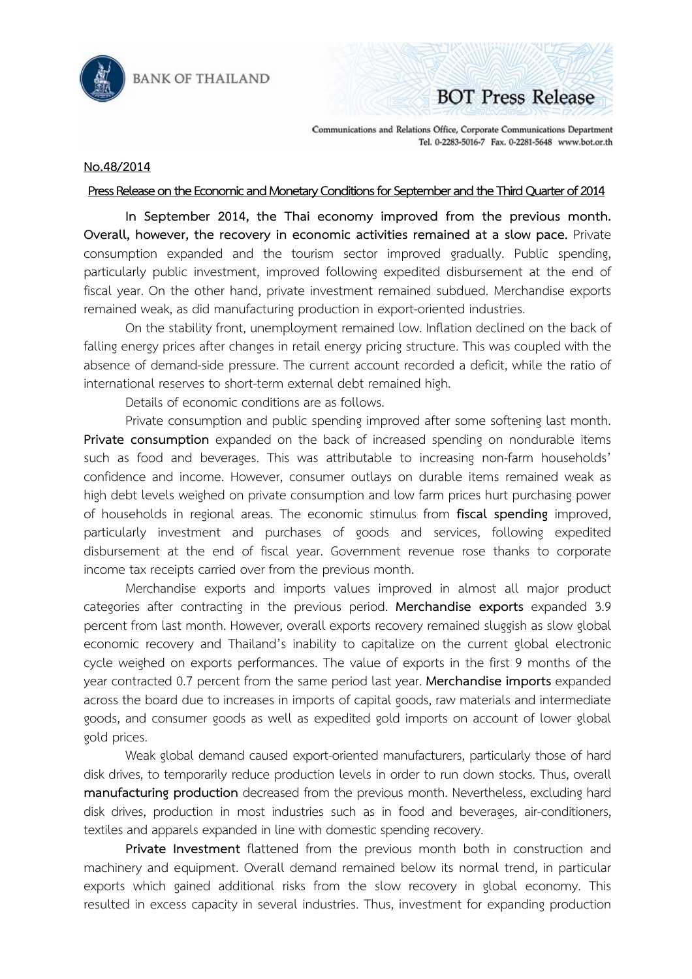

**BANK OF THAILAND** 

## **BOT Press Release**

Communications and Relations Office, Corporate Communications Department Tel. 0-2283-5016-7 Fax. 0-2281-5648 www.bot.or.th

## **No.48/2014**

## **Press Release on the Economic and Monetary Conditions for September and the Third Quarter of 2014**

 **In September 2014, the Thai economy improved from the previous month. Overall, however, the recovery in economic activities remained at a slow pace.** Private consumption expanded and the tourism sector improved gradually. Public spending, particularly public investment, improved following expedited disbursement at the end of fiscal year. On the other hand, private investment remained subdued. Merchandise exports remained weak, as did manufacturing production in export-oriented industries.

On the stability front, unemployment remained low. Inflation declined on the back of falling energy prices after changes in retail energy pricing structure. This was coupled with the absence of demand-side pressure. The current account recorded a deficit, while the ratio of international reserves to short-term external debt remained high.

Details of economic conditions are as follows.

Private consumption and public spending improved after some softening last month. **Private consumption** expanded on the back of increased spending on nondurable items such as food and beverages. This was attributable to increasing non-farm households' confidence and income. However, consumer outlays on durable items remained weak as high debt levels weighed on private consumption and low farm prices hurt purchasing power of households in regional areas. The economic stimulus from **fiscal spending** improved, particularly investment and purchases of goods and services, following expedited disbursement at the end of fiscal year. Government revenue rose thanks to corporate income tax receipts carried over from the previous month.

Merchandise exports and imports values improved in almost all major product categories after contracting in the previous period. **Merchandise exports** expanded 3.9 percent from last month. However, overall exports recovery remained sluggish as slow global economic recovery and Thailand's inability to capitalize on the current global electronic cycle weighed on exports performances. The value of exports in the first 9 months of the year contracted 0.7 percent from the same period last year. **Merchandise imports** expanded across the board due to increases in imports of capital goods, raw materials and intermediate goods, and consumer goods as well as expedited gold imports on account of lower global gold prices.

Weak global demand caused export-oriented manufacturers, particularly those of hard disk drives, to temporarily reduce production levels in order to run down stocks. Thus, overall **manufacturing production** decreased from the previous month. Nevertheless, excluding hard disk drives, production in most industries such as in food and beverages, air-conditioners, textiles and apparels expanded in line with domestic spending recovery.

**Private Investment** flattened from the previous month both in construction and machinery and equipment. Overall demand remained below its normal trend, in particular exports which gained additional risks from the slow recovery in global economy. This resulted in excess capacity in several industries. Thus, investment for expanding production